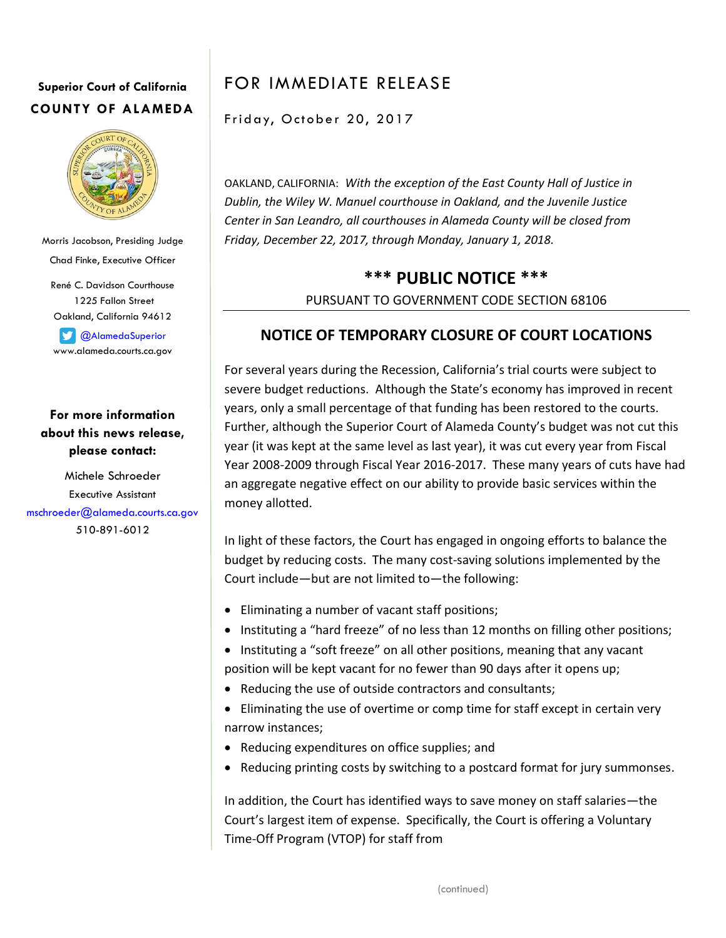## **Superior Court of California COUNTY OF ALAMEDA**



Morris Jacobson, Presiding Judge Chad Finke, Executive Officer René C. Davidson Courthouse 1225 Fallon Street

Oakland, California 94612

**C**AlamedaSuperior www.alameda.courts.ca.gov

**For more information about this news release, please contact:**

Michele Schroeder Executive Assistant [mschroeder@alameda.courts.ca.gov](mailto:mschroeder@alameda.courts.ca.gov) 510-891-6012

# FOR IMMEDIATE RELEASE

Friday, October 20, 2017

OAKLAND, CALIFORNIA: *With the exception of the East County Hall of Justice in Dublin, the Wiley W. Manuel courthouse in Oakland, and the Juvenile Justice Center in San Leandro, all courthouses in Alameda County will be closed from Friday, December 22, 2017, through Monday, January 1, 2018.*

## **\*\*\* PUBLIC NOTICE \*\*\*** PURSUANT TO GOVERNMENT CODE SECTION 68106

### **NOTICE OF TEMPORARY CLOSURE OF COURT LOCATIONS**

For several years during the Recession, California's trial courts were subject to severe budget reductions. Although the State's economy has improved in recent years, only a small percentage of that funding has been restored to the courts. Further, although the Superior Court of Alameda County's budget was not cut this year (it was kept at the same level as last year), it was cut every year from Fiscal Year 2008-2009 through Fiscal Year 2016-2017. These many years of cuts have had an aggregate negative effect on our ability to provide basic services within the money allotted.

In light of these factors, the Court has engaged in ongoing efforts to balance the budget by reducing costs. The many cost-saving solutions implemented by the Court include—but are not limited to—the following:

- Eliminating a number of vacant staff positions;
- Instituting a "hard freeze" of no less than 12 months on filling other positions;
- Instituting a "soft freeze" on all other positions, meaning that any vacant position will be kept vacant for no fewer than 90 days after it opens up;
- Reducing the use of outside contractors and consultants;
- Eliminating the use of overtime or comp time for staff except in certain very narrow instances;
- Reducing expenditures on office supplies; and
- Reducing printing costs by switching to a postcard format for jury summonses.

In addition, the Court has identified ways to save money on staff salaries—the Court's largest item of expense. Specifically, the Court is offering a Voluntary Time-Off Program (VTOP) for staff from